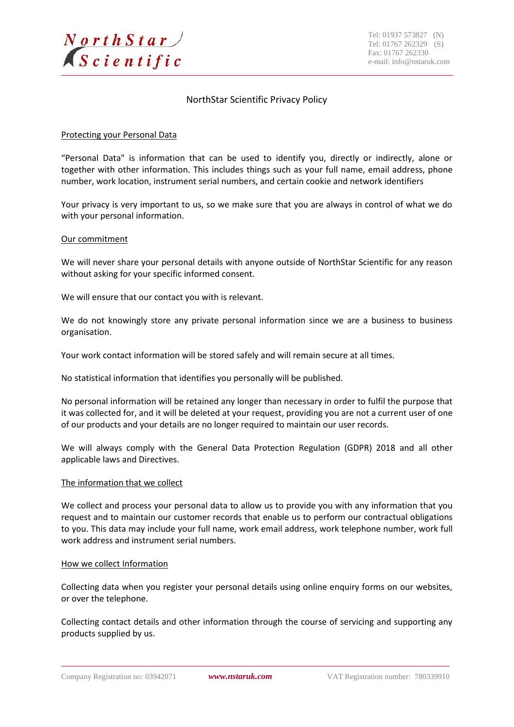

# NorthStar Scientific Privacy Policy

### Protecting your Personal Data

"Personal Data" is information that can be used to identify you, directly or indirectly, alone or together with other information. This includes things such as your full name, email address, phone number, work location, instrument serial numbers, and certain cookie and network identifiers

Your privacy is very important to us, so we make sure that you are always in control of what we do with your personal information.

### Our commitment

We will never share your personal details with anyone outside of NorthStar Scientific for any reason without asking for your specific informed consent.

We will ensure that our contact you with is relevant.

We do not knowingly store any private personal information since we are a business to business organisation.

Your work contact information will be stored safely and will remain secure at all times.

No statistical information that identifies you personally will be published.

No personal information will be retained any longer than necessary in order to fulfil the purpose that it was collected for, and it will be deleted at your request, providing you are not a current user of one of our products and your details are no longer required to maintain our user records.

We will always comply with the General Data Protection Regulation (GDPR) 2018 and all other applicable laws and Directives.

### The information that we collect

We collect and process your personal data to allow us to provide you with any information that you request and to maintain our customer records that enable us to perform our contractual obligations to you. This data may include your full name, work email address, work telephone number, work full work address and instrument serial numbers.

### How we collect Information

Collecting data when you register your personal details using online enquiry forms on our websites, or over the telephone.

Collecting contact details and other information through the course of servicing and supporting any products supplied by us.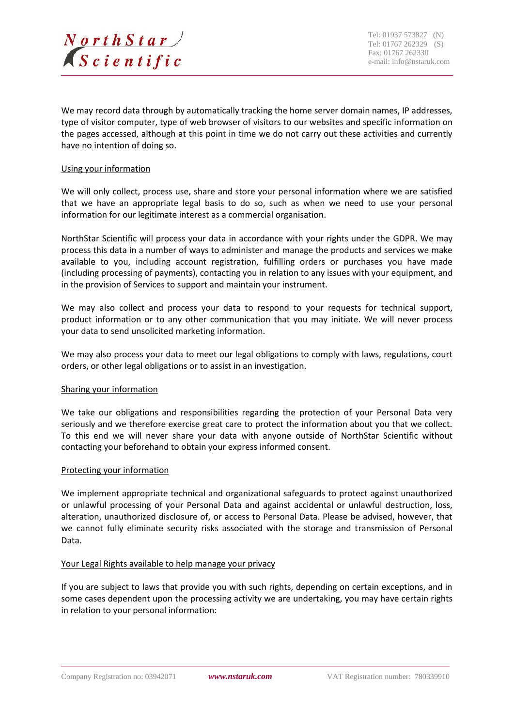

We may record data through by automatically tracking the home server domain names, IP addresses, type of visitor computer, type of web browser of visitors to our websites and specific information on the pages accessed, although at this point in time we do not carry out these activities and currently have no intention of doing so.

### Using your information

We will only collect, process use, share and store your personal information where we are satisfied that we have an appropriate legal basis to do so, such as when we need to use your personal information for our legitimate interest as a commercial organisation.

NorthStar Scientific will process your data in accordance with your rights under the GDPR. We may process this data in a number of ways to administer and manage the products and services we make available to you, including account registration, fulfilling orders or purchases you have made (including processing of payments), contacting you in relation to any issues with your equipment, and in the provision of Services to support and maintain your instrument.

We may also collect and process your data to respond to your requests for technical support, product information or to any other communication that you may initiate. We will never process your data to send unsolicited marketing information.

We may also process your data to meet our legal obligations to comply with laws, regulations, court orders, or other legal obligations or to assist in an investigation.

### Sharing your information

We take our obligations and responsibilities regarding the protection of your Personal Data very seriously and we therefore exercise great care to protect the information about you that we collect. To this end we will never share your data with anyone outside of NorthStar Scientific without contacting your beforehand to obtain your express informed consent.

### Protecting your information

We implement appropriate technical and organizational safeguards to protect against unauthorized or unlawful processing of your Personal Data and against accidental or unlawful destruction, loss, alteration, unauthorized disclosure of, or access to Personal Data. Please be advised, however, that we cannot fully eliminate security risks associated with the storage and transmission of Personal Data.

# Your Legal Rights available to help manage your privacy

If you are subject to laws that provide you with such rights, depending on certain exceptions, and in some cases dependent upon the processing activity we are undertaking, you may have certain rights in relation to your personal information: